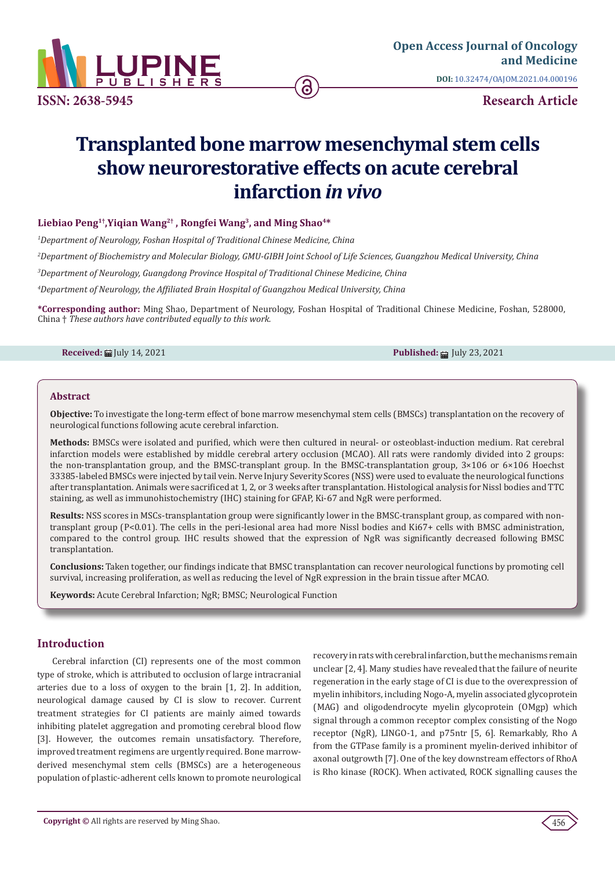

**[Open Access Journal of Oncology](https://lupinepublishers.com/cancer-journal/)  and Medicine**

**DOI:** [10.32474/OAJOM.2021.04.0001](http://dx.doi.org/10.32474/OAJOM.2021.04.000196)96

# **Transplanted bone marrow mesenchymal stem cells show neurorestorative effects on acute cerebral infarction** *in vivo*

# **Liebiao Peng1†,Yiqian Wang2† , Rongfei Wang3, and Ming Shao4\***

 *Department of Neurology, Foshan Hospital of Traditional Chinese Medicine, China Department of Biochemistry and Molecular Biology, GMU-GIBH Joint School of Life Sciences, Guangzhou Medical University, China Department of Neurology, Guangdong Province Hospital of Traditional Chinese Medicine, China Department of Neurology, the Affiliated Brain Hospital of Guangzhou Medical University, China*

**\*Corresponding author:** Ming Shao, Department of Neurology, Foshan Hospital of Traditional Chinese Medicine, Foshan, 528000, China † *These authors have contributed equally to this work.* 

**Received:** ■ July 14, 2021 **Published:** ■ July 23, 2021

## **Abstract**

**Objective:** To investigate the long-term effect of bone marrow mesenchymal stem cells (BMSCs) transplantation on the recovery of neurological functions following acute cerebral infarction.

**Methods:** BMSCs were isolated and purified, which were then cultured in neural- or osteoblast-induction medium. Rat cerebral infarction models were established by middle cerebral artery occlusion (MCAO). All rats were randomly divided into 2 groups: the non-transplantation group, and the BMSC-transplant group. In the BMSC-transplantation group,  $3\times106$  or  $6\times106$  Hoechst 33385-labeled BMSCs were injected by tail vein. Nerve Injury Severity Scores (NSS) were used to evaluate the neurological functions after transplantation. Animals were sacrificed at 1, 2, or 3 weeks after transplantation. Histological analysis for Nissl bodies and TTC staining, as well as immunohistochemistry (IHC) staining for GFAP, Ki-67 and NgR were performed.

**Results:** NSS scores in MSCs-transplantation group were significantly lower in the BMSC-transplant group, as compared with nontransplant group (P<0.01). The cells in the peri-lesional area had more Nissl bodies and Ki67+ cells with BMSC administration, compared to the control group. IHC results showed that the expression of NgR was significantly decreased following BMSC transplantation.

**Conclusions:** Taken together, our findings indicate that BMSC transplantation can recover neurological functions by promoting cell survival, increasing proliferation, as well as reducing the level of NgR expression in the brain tissue after MCAO.

**Keywords:** Acute Cerebral Infarction; NgR; BMSC; Neurological Function

# **Introduction**

Cerebral infarction (CI) represents one of the most common type of stroke, which is attributed to occlusion of large intracranial arteries due to a loss of oxygen to the brain [1, 2]. In addition, neurological damage caused by CI is slow to recover. Current treatment strategies for CI patients are mainly aimed towards inhibiting platelet aggregation and promoting cerebral blood flow [3]. However, the outcomes remain unsatisfactory. Therefore, improved treatment regimens are urgently required. Bone marrowderived mesenchymal stem cells (BMSCs) are a heterogeneous population of plastic-adherent cells known to promote neurological recovery in rats with cerebral infarction, but the mechanisms remain unclear [2, 4]. Many studies have revealed that the failure of neurite regeneration in the early stage of CI is due to the overexpression of myelin inhibitors, including Nogo-A, myelin associated glycoprotein (MAG) and oligodendrocyte myelin glycoprotein (OMgp) which signal through a common receptor complex consisting of the Nogo receptor (NgR), LINGO-1, and p75ntr [5, 6]. Remarkably, Rho A from the GTPase family is a prominent myelin-derived inhibitor of axonal outgrowth [7]. One of the key downstream effectors of RhoA is Rho kinase (ROCK). When activated, ROCK signalling causes the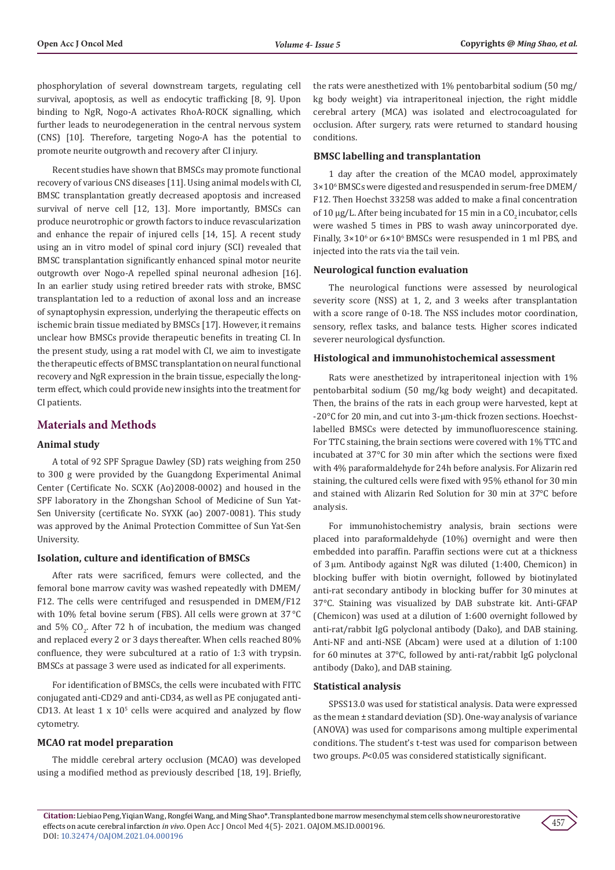phosphorylation of several downstream targets, regulating cell survival, apoptosis, as well as endocytic trafficking [8, 9]. Upon binding to NgR, Nogo-A activates RhoA-ROCK signalling, which further leads to neurodegeneration in the central nervous system (CNS) [10]. Therefore, targeting Nogo-A has the potential to promote neurite outgrowth and recovery after CI injury.

Recent studies have shown that BMSCs may promote functional recovery of various CNS diseases [11]. Using animal models with CI, BMSC transplantation greatly decreased apoptosis and increased survival of nerve cell [12, 13]. More importantly, BMSCs can produce neurotrophic or growth factors to induce revascularization and enhance the repair of injured cells [14, 15]. A recent study using an in vitro model of spinal cord injury (SCI) revealed that BMSC transplantation significantly enhanced spinal motor neurite outgrowth over Nogo-A repelled spinal neuronal adhesion [16]. In an earlier study using retired breeder rats with stroke, BMSC transplantation led to a reduction of axonal loss and an increase of synaptophysin expression, underlying the therapeutic effects on ischemic brain tissue mediated by BMSCs [17]. However, it remains unclear how BMSCs provide therapeutic benefits in treating CI. In the present study, using a rat model with CI, we aim to investigate the therapeutic effects of BMSC transplantation on neural functional recovery and NgR expression in the brain tissue, especially the longterm effect, which could provide new insights into the treatment for CI patients.

# **Materials and Methods**

#### **Animal study**

A total of 92 SPF Sprague Dawley (SD) rats weighing from 250 to 300 g were provided by the Guangdong Experimental Animal Center (Certificate No. SCXK (Ao)2008-0002) and housed in the SPF laboratory in the Zhongshan School of Medicine of Sun Yat-Sen University (certificate No. SYXK (ao) 2007-0081). This study was approved by the Animal Protection Committee of Sun Yat-Sen University.

#### **Isolation, culture and identification of BMSCs**

After rats were sacrificed, femurs were collected, and the femoral bone marrow cavity was washed repeatedly with DMEM/ F12. The cells were centrifuged and resuspended in DMEM/F12 with 10% fetal bovine serum (FBS). All cells were grown at 37 °C and 5%  $CO_{2}$ . After 72 h of incubation, the medium was changed and replaced every 2 or 3 days thereafter. When cells reached 80% confluence, they were subcultured at a ratio of 1:3 with trypsin. BMSCs at passage 3 were used as indicated for all experiments.

For identification of BMSCs, the cells were incubated with FITC conjugated anti-CD29 and anti-CD34, as well as PE conjugated anti- $CD13$ . At least 1 x  $10<sup>5</sup>$  cells were acquired and analyzed by flow cytometry.

#### **MCAO rat model preparation**

The middle cerebral artery occlusion (MCAO) was developed using a modified method as previously described [18, 19]. Briefly, the rats were anesthetized with 1% pentobarbital sodium (50 mg/ kg body weight) via intraperitoneal injection, the right middle cerebral artery (MCA) was isolated and electrocoagulated for occlusion. After surgery, rats were returned to standard housing conditions.

#### **BMSC labelling and transplantation**

1 day after the creation of the MCAO model, approximately 3×106 BMSCs were digested and resuspended in serum-free DMEM/ F12. Then Hoechst 33258 was added to make a final concentration of 10  $\mu$ g/L. After being incubated for 15 min in a CO<sub>2</sub> incubator, cells were washed 5 times in PBS to wash away unincorporated dye. Finally,  $3\times10^{6}$  or  $6\times10^{6}$  BMSCs were resuspended in 1 ml PBS, and injected into the rats via the tail vein.

#### **Neurological function evaluation**

The neurological functions were assessed by neurological severity score (NSS) at 1, 2, and 3 weeks after transplantation with a score range of 0-18. The NSS includes motor coordination, sensory, reflex tasks, and balance tests. Higher scores indicated severer neurological dysfunction.

#### **Histological and immunohistochemical assessment**

Rats were anesthetized by intraperitoneal injection with 1% pentobarbital sodium (50 mg/kg body weight) and decapitated. Then, the brains of the rats in each group were harvested, kept at -20°C for 20 min, and cut into 3-μm-thick frozen sections. Hoechstlabelled BMSCs were detected by immunofluorescence staining. For TTC staining, the brain sections were covered with 1% TTC and incubated at 37°C for 30 min after which the sections were fixed with 4% paraformaldehyde for 24h before analysis. For Alizarin red staining, the cultured cells were fixed with 95% ethanol for 30 min and stained with Alizarin Red Solution for 30 min at 37°C before analysis.

For immunohistochemistry analysis, brain sections were placed into paraformaldehyde (10%) overnight and were then embedded into paraffin. Paraffin sections were cut at a thickness of 3 μm. Antibody against NgR was diluted (1:400, Chemicon) in blocking buffer with biotin overnight, followed by biotinylated anti-rat secondary antibody in blocking buffer for 30 minutes at 37°C. Staining was visualized by DAB substrate kit. Anti-GFAP (Chemicon) was used at a dilution of 1:600 overnight followed by anti-rat/rabbit IgG polyclonal antibody (Dako), and DAB staining. Anti-NF and anti-NSE (Abcam) were used at a dilution of 1:100 for 60 minutes at 37°C, followed by anti-rat/rabbit IgG polyclonal antibody (Dako), and DAB staining.

#### **Statistical analysis**

SPSS13.0 was used for statistical analysis. Data were expressed as the mean ± standard deviation (SD). One-way analysis of variance (ANOVA) was used for comparisons among multiple experimental conditions. The student's t-test was used for comparison between two groups. *P*<0.05 was considered statistically significant.

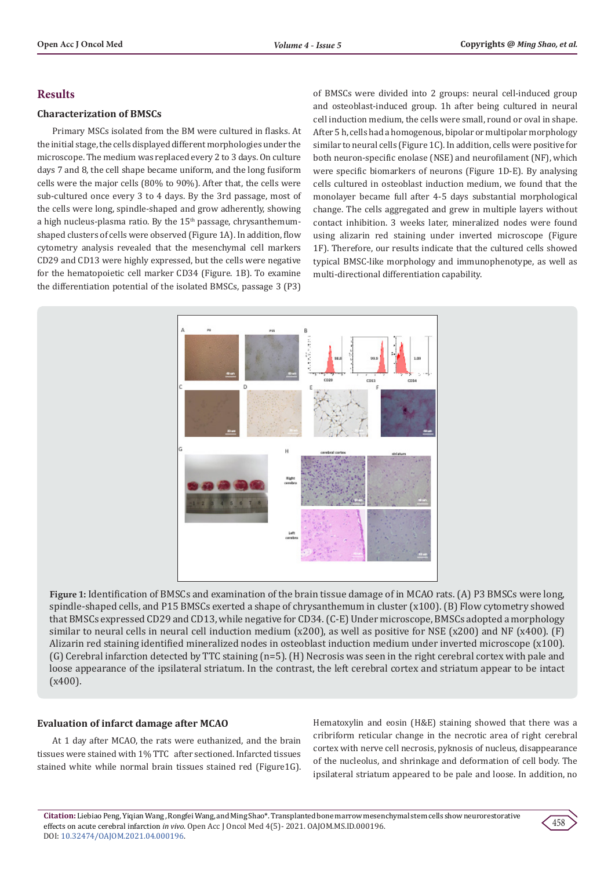# **Results**

# **Characterization of BMSCs**

Primary MSCs isolated from the BM were cultured in flasks. At the initial stage, the cells displayed different morphologies under the microscope. The medium was replaced every 2 to 3 days. On culture days 7 and 8, the cell shape became uniform, and the long fusiform cells were the major cells (80% to 90%). After that, the cells were sub-cultured once every 3 to 4 days. By the 3rd passage, most of the cells were long, spindle-shaped and grow adherently, showing a high nucleus-plasma ratio. By the  $15<sup>th</sup>$  passage, chrysanthemumshaped clusters of cells were observed (Figure 1A). In addition, flow cytometry analysis revealed that the mesenchymal cell markers CD29 and CD13 were highly expressed, but the cells were negative for the hematopoietic cell marker CD34 (Figure. 1B). To examine the differentiation potential of the isolated BMSCs, passage 3 (P3)

of BMSCs were divided into 2 groups: neural cell-induced group and osteoblast-induced group. 1h after being cultured in neural cell induction medium, the cells were small, round or oval in shape. After 5 h, cells had a homogenous, bipolar or multipolar morphology similar to neural cells (Figure 1C). In addition, cells were positive for both neuron-specific enolase (NSE) and neurofilament (NF), which were specific biomarkers of neurons (Figure 1D-E). By analysing cells cultured in osteoblast induction medium, we found that the monolayer became full after 4-5 days substantial morphological change. The cells aggregated and grew in multiple layers without contact inhibition. 3 weeks later, mineralized nodes were found using alizarin red staining under inverted microscope (Figure 1F). Therefore, our results indicate that the cultured cells showed typical BMSC-like morphology and immunophenotype, as well as multi-directional differentiation capability.



**Figure 1:** Identification of BMSCs and examination of the brain tissue damage of in MCAO rats. (A) P3 BMSCs were long, spindle-shaped cells, and P15 BMSCs exerted a shape of chrysanthemum in cluster (x100). (B) Flow cytometry showed that BMSCs expressed CD29 and CD13, while negative for CD34. (C-E) Under microscope, BMSCs adopted a morphology similar to neural cells in neural cell induction medium (x200), as well as positive for NSE (x200) and NF (x400). (F) Alizarin red staining identified mineralized nodes in osteoblast induction medium under inverted microscope (x100). (G) Cerebral infarction detected by TTC staining (n=5). (H) Necrosis was seen in the right cerebral cortex with pale and loose appearance of the ipsilateral striatum. In the contrast, the left cerebral cortex and striatum appear to be intact (x400).

# **Evaluation of infarct damage after MCAO**

At 1 day after MCAO, the rats were euthanized, and the brain tissues were stained with 1% TTC after sectioned. Infarcted tissues stained white while normal brain tissues stained red (Figure1G). Hematoxylin and eosin (H&E) staining showed that there was a cribriform reticular change in the necrotic area of right cerebral cortex with nerve cell necrosis, pyknosis of nucleus, disappearance of the nucleolus, and shrinkage and deformation of cell body. The ipsilateral striatum appeared to be pale and loose. In addition, no

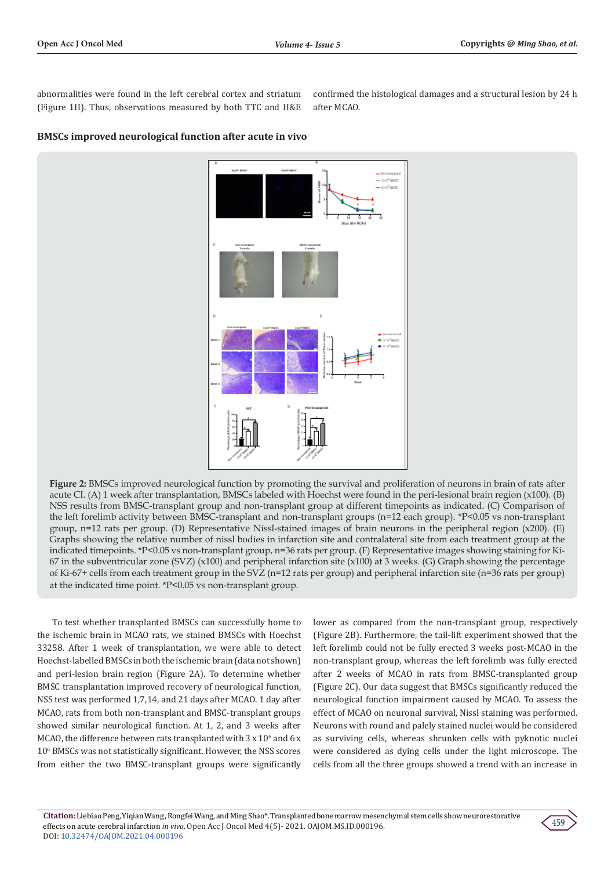abnormalities were found in the left cerebral cortex and striatum (Figure 1H). Thus, observations measured by both TTC and H&E

confirmed the histological damages and a structural lesion by 24 h after MCAO.



#### **BMSCs improved neurological function after acute in vivo**

**Figure 2:** BMSCs improved neurological function by promoting the survival and proliferation of neurons in brain of rats after acute CI. (A) 1 week after transplantation, BMSCs labeled with Hoechst were found in the peri-lesional brain region (x100). (B) NSS results from BMSC-transplant group and non-transplant group at different timepoints as indicated. (C) Comparison of the left forelimb activity between BMSC-transplant and non-transplant groups (n=12 each group). \*P<0.05 vs non-transplant group, n=12 rats per group. (D) Representative Nissl-stained images of brain neurons in the peripheral region (x200). (E) Graphs showing the relative number of nissl bodies in infarction site and contralateral site from each treatment group at the indicated timepoints. \*P<0.05 vs non-transplant group, n=36 rats per group. (F) Representative images showing staining for Ki-67 in the subventricular zone (SVZ)  $(x100)$  and peripheral infarction site  $(x100)$  at 3 weeks. (G) Graph showing the percentage of Ki-67+ cells from each treatment group in the SVZ (n=12 rats per group) and peripheral infarction site (n=36 rats per group) at the indicated time point. \*P<0.05 vs non-transplant group.

To test whether transplanted BMSCs can successfully home to the ischemic brain in MCAO rats, we stained BMSCs with Hoechst 33258. After 1 week of transplantation, we were able to detect Hoechst-labelled BMSCs in both the ischemic brain (data not shown) and peri-lesion brain region (Figure 2A). To determine whether BMSC transplantation improved recovery of neurological function, NSS test was performed 1,7,14, and 21 days after MCAO. 1 day after MCAO, rats from both non-transplant and BMSC-transplant groups showed similar neurological function. At 1, 2, and 3 weeks after MCAO, the difference between rats transplanted with  $3 \times 10^6$  and 6  $\times$ 106 BMSCs was not statistically significant. However, the NSS scores from either the two BMSC-transplant groups were significantly

lower as compared from the non-transplant group, respectively (Figure 2B). Furthermore, the tail-lift experiment showed that the left forelimb could not be fully erected 3 weeks post-MCAO in the non-transplant group, whereas the left forelimb was fully erected after 2 weeks of MCAO in rats from BMSC-transplanted group (Figure 2C). Our data suggest that BMSCs significantly reduced the neurological function impairment caused by MCAO. To assess the effect of MCAO on neuronal survival, Nissl staining was performed. Neurons with round and palely stained nuclei would be considered as surviving cells, whereas shrunken cells with pyknotic nuclei were considered as dying cells under the light microscope. The cells from all the three groups showed a trend with an increase in

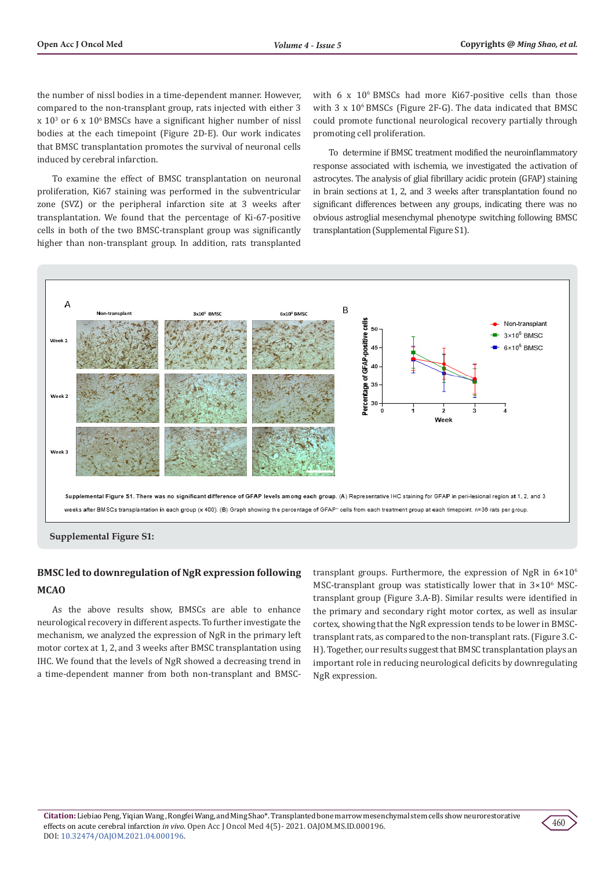the number of nissl bodies in a time-dependent manner. However, compared to the non-transplant group, rats injected with either 3  $\ge 10^3$  or 6 x 10<sup>6</sup> BMSCs have a significant higher number of nissl bodies at the each timepoint (Figure 2D-E). Our work indicates that BMSC transplantation promotes the survival of neuronal cells induced by cerebral infarction.

To examine the effect of BMSC transplantation on neuronal proliferation, Ki67 staining was performed in the subventricular zone (SVZ) or the peripheral infarction site at 3 weeks after transplantation. We found that the percentage of Ki-67-positive cells in both of the two BMSC-transplant group was significantly higher than non-transplant group. In addition, rats transplanted

with 6 x 10<sup>6</sup> BMSCs had more Ki67-positive cells than those with  $3 \times 10^6$  BMSCs (Figure 2F-G). The data indicated that BMSC could promote functional neurological recovery partially through promoting cell proliferation.

To determine if BMSC treatment modified the neuroinflammatory response associated with ischemia, we investigated the activation of astrocytes. The analysis of glial fibrillary acidic protein (GFAP) staining in brain sections at 1, 2, and 3 weeks after transplantation found no significant differences between any groups, indicating there was no obvious astroglial mesenchymal phenotype switching following BMSC transplantation (Supplemental Figure S1).



# **BMSC led to downregulation of NgR expression following MCAO**

As the above results show, BMSCs are able to enhance neurological recovery in different aspects. To further investigate the mechanism, we analyzed the expression of NgR in the primary left motor cortex at 1, 2, and 3 weeks after BMSC transplantation using IHC. We found that the levels of NgR showed a decreasing trend in a time-dependent manner from both non-transplant and BMSC-

transplant groups. Furthermore, the expression of NgR in  $6\times10^{6}$  $MSC$ -transplant group was statistically lower that in  $3\times10^6$  MSCtransplant group (Figure 3.A-B). Similar results were identified in the primary and secondary right motor cortex, as well as insular cortex, showing that the NgR expression tends to be lower in BMSCtransplant rats, as compared to the non-transplant rats. (Figure 3.C-H). Together, our results suggest that BMSC transplantation plays an important role in reducing neurological deficits by downregulating NgR expression.

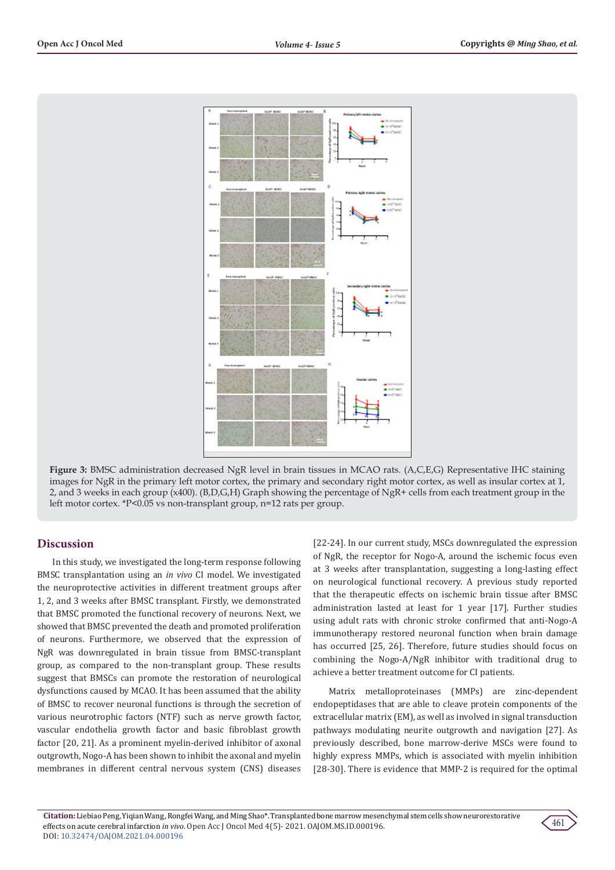

**Figure 3:** BMSC administration decreased NgR level in brain tissues in MCAO rats. (A,C,E,G) Representative IHC staining images for NgR in the primary left motor cortex, the primary and secondary right motor cortex, as well as insular cortex at 1, 2, and 3 weeks in each group (x400). (B,D,G,H) Graph showing the percentage of NgR+ cells from each treatment group in the left motor cortex. \*P<0.05 vs non-transplant group, n=12 rats per group.

# **Discussion**

In this study, we investigated the long-term response following BMSC transplantation using an *in vivo* CI model. We investigated the neuroprotective activities in different treatment groups after 1, 2, and 3 weeks after BMSC transplant. Firstly, we demonstrated that BMSC promoted the functional recovery of neurons. Next, we showed that BMSC prevented the death and promoted proliferation of neurons. Furthermore, we observed that the expression of NgR was downregulated in brain tissue from BMSC-transplant group, as compared to the non-transplant group. These results suggest that BMSCs can promote the restoration of neurological dysfunctions caused by MCAO. It has been assumed that the ability of BMSC to recover neuronal functions is through the secretion of various neurotrophic factors (NTF) such as nerve growth factor, vascular endothelia growth factor and basic fibroblast growth factor [20, 21]. As a prominent myelin-derived inhibitor of axonal outgrowth, Nogo-A has been shown to inhibit the axonal and myelin membranes in different central nervous system (CNS) diseases

[22-24]. In our current study, MSCs downregulated the expression of NgR, the receptor for Nogo-A, around the ischemic focus even at 3 weeks after transplantation, suggesting a long-lasting effect on neurological functional recovery. A previous study reported that the therapeutic effects on ischemic brain tissue after BMSC administration lasted at least for 1 year [17]. Further studies using adult rats with chronic stroke confirmed that anti-Nogo-A immunotherapy restored neuronal function when brain damage has occurred [25, 26]. Therefore, future studies should focus on combining the Nogo-A/NgR inhibitor with traditional drug to achieve a better treatment outcome for CI patients.

Matrix metalloproteinases (MMPs) are zinc-dependent endopeptidases that are able to cleave protein components of the extracellular matrix (EM), as well as involved in signal transduction pathways modulating neurite outgrowth and navigation [27]. As previously described, bone marrow-derive MSCs were found to highly express MMPs, which is associated with myelin inhibition [28-30]. There is evidence that MMP-2 is required for the optimal

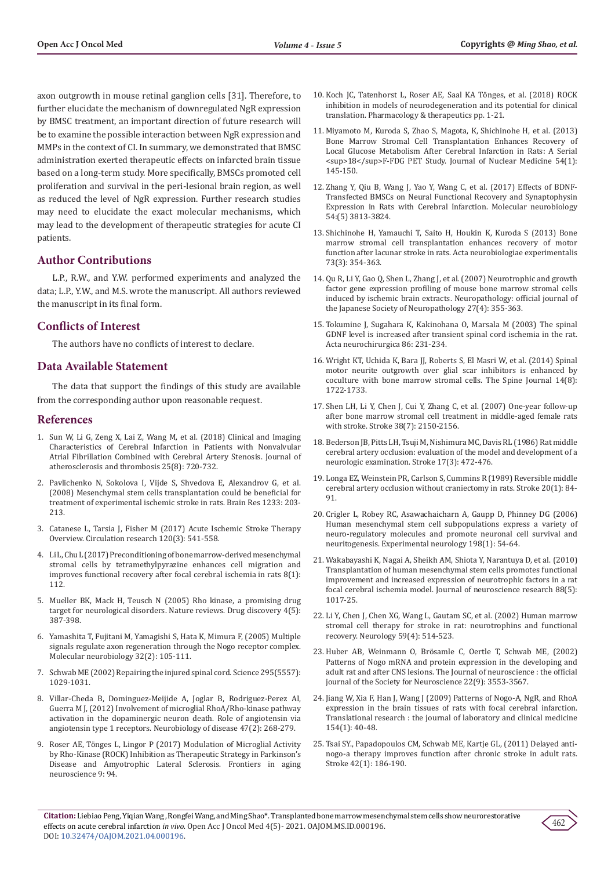axon outgrowth in mouse retinal ganglion cells [31]. Therefore, to further elucidate the mechanism of downregulated NgR expression by BMSC treatment, an important direction of future research will be to examine the possible interaction between NgR expression and MMPs in the context of CI. In summary, we demonstrated that BMSC administration exerted therapeutic effects on infarcted brain tissue based on a long-term study. More specifically, BMSCs promoted cell proliferation and survival in the peri-lesional brain region, as well as reduced the level of NgR expression. Further research studies may need to elucidate the exact molecular mechanisms, which may lead to the development of therapeutic strategies for acute CI patients.

# **Author Contributions**

L.P., R.W., and Y.W. performed experiments and analyzed the data; L.P., Y.W., and M.S. wrote the manuscript. All authors reviewed the manuscript in its final form.

## **Conflicts of Interest**

The authors have no conflicts of interest to declare.

# **Data Available Statement**

The data that support the findings of this study are available from the corresponding author upon reasonable request.

#### **References**

- 1. [Sun W, Li G, Zeng X, Lai Z, Wang M, et al. \(2018\) Clinical and Imaging](https://pubmed.ncbi.nlm.nih.gov/29877196/)  [Characteristics of Cerebral Infarction in Patients with Nonvalvular](https://pubmed.ncbi.nlm.nih.gov/29877196/)  [Atrial Fibrillation Combined with Cerebral Artery Stenosis. Journal of](https://pubmed.ncbi.nlm.nih.gov/29877196/)  [atherosclerosis and thrombosis 25\(8\): 720-732.](https://pubmed.ncbi.nlm.nih.gov/29877196/)
- 2. [Pavlichenko N, Sokolova I, Vijde S, Shvedova E, Alexandrov G, et al.](https://pubmed.ncbi.nlm.nih.gov/18675258/)  [\(2008\) Mesenchymal stem cells transplantation could be beneficial for](https://pubmed.ncbi.nlm.nih.gov/18675258/)  [treatment of experimental ischemic stroke in rats. Brain Res 1233: 203-](https://pubmed.ncbi.nlm.nih.gov/18675258/) [213.](https://pubmed.ncbi.nlm.nih.gov/18675258/)
- 3. [Catanese L, Tarsia J, Fisher M \(2017\) Acute Ischemic Stroke Therapy](https://pubmed.ncbi.nlm.nih.gov/28154103/)  [Overview. Circulation research 120\(3\): 541-558.](https://pubmed.ncbi.nlm.nih.gov/28154103/)
- 4. [Li L, Chu L \(2017\) Preconditioning of bone marrow-derived mesenchymal](https://pubmed.ncbi.nlm.nih.gov/28499457/)  [stromal cells by tetramethylpyrazine enhances cell migration and](https://pubmed.ncbi.nlm.nih.gov/28499457/)  [improves functional recovery after focal cerebral ischemia in rats 8\(1\):](https://pubmed.ncbi.nlm.nih.gov/28499457/)  [112.](https://pubmed.ncbi.nlm.nih.gov/28499457/)
- 5. [Mueller BK, Mack H, Teusch N \(2005\) Rho kinase, a promising drug](https://www.nature.com/articles/nrd1719)  [target for neurological disorders. Nature reviews. Drug discovery 4\(5\):](https://www.nature.com/articles/nrd1719)  [387-398.](https://www.nature.com/articles/nrd1719)
- 6. [Yamashita T, Fujitani M, Yamagishi S, Hata K, Mimura F, \(2005\) Multiple](https://pubmed.ncbi.nlm.nih.gov/16215275/)  [signals regulate axon regeneration through the Nogo receptor complex.](https://pubmed.ncbi.nlm.nih.gov/16215275/)  [Molecular neurobiology 32\(2\): 105-111.](https://pubmed.ncbi.nlm.nih.gov/16215275/)
- 7. [Schwab ME \(2002\) Repairing the injured spinal cord. Science 295\(5557\):](https://pubmed.ncbi.nlm.nih.gov/11834824/)  [1029-1031.](https://pubmed.ncbi.nlm.nih.gov/11834824/)
- 8. [Villar-Cheda B, Dominguez-Meijide A, Joglar B, Rodriguez-Perez AI,](https://www.sciencedirect.com/science/article/abs/pii/S0969996112001398)  [Guerra M J, \(2012\) Involvement of microglial RhoA/Rho-kinase pathway](https://www.sciencedirect.com/science/article/abs/pii/S0969996112001398)  [activation in the dopaminergic neuron death. Role of angiotensin via](https://www.sciencedirect.com/science/article/abs/pii/S0969996112001398)  [angiotensin type 1 receptors. Neurobiology of disease 47\(2\): 268-279.](https://www.sciencedirect.com/science/article/abs/pii/S0969996112001398)
- 9. [Roser AE, Tönges L, Lingor P \(2017\) Modulation of Microglial Activity](https://pubmed.ncbi.nlm.nih.gov/28420986/)  [by Rho-Kinase \(ROCK\) Inhibition as Therapeutic Strategy in Parkinson's](https://pubmed.ncbi.nlm.nih.gov/28420986/)  [Disease and Amyotrophic Lateral Sclerosis. Frontiers in aging](https://pubmed.ncbi.nlm.nih.gov/28420986/)  [neuroscience 9: 94.](https://pubmed.ncbi.nlm.nih.gov/28420986/)
- 10. [Koch JC, Tatenhorst L, Roser AE, Saal KA Tönges, et al. \(2018\) ROCK](https://pubmed.ncbi.nlm.nih.gov/28420986/) [inhibition in models of neurodegeneration and its potential for clinical](https://pubmed.ncbi.nlm.nih.gov/28420986/) [translation. Pharmacology & therapeutics pp. 1-21.](https://pubmed.ncbi.nlm.nih.gov/28420986/)
- 11. [Miyamoto M, Kuroda S, Zhao S, Magota, K, Shichinohe H, et al. \(2013\)](https://pubmed.ncbi.nlm.nih.gov/23204494/) [Bone Marrow Stromal Cell Transplantation Enhances Recovery of](https://pubmed.ncbi.nlm.nih.gov/23204494/) [Local Glucose Metabolism After Cerebral Infarction in Rats: A Serial](https://pubmed.ncbi.nlm.nih.gov/23204494/) [<sup>18</sup>F-FDG PET Study. Journal of Nuclear Medicine 54\(1\):](https://pubmed.ncbi.nlm.nih.gov/23204494/) [145-150.](https://pubmed.ncbi.nlm.nih.gov/23204494/)
- 12. [Zhang Y, Qiu B, Wang J, Yao Y, Wang C, et al. \(2017\) Effects of BDNF-](https://pubmed.ncbi.nlm.nih.gov/27282770/)[Transfected BMSCs on Neural Functional Recovery and Synaptophysin](https://pubmed.ncbi.nlm.nih.gov/27282770/) [Expression in Rats with Cerebral Infarction. Molecular neurobiology](https://pubmed.ncbi.nlm.nih.gov/27282770/) [54:\(5\) 3813-3824.](https://pubmed.ncbi.nlm.nih.gov/27282770/)
- 13. [Shichinohe H, Yamauchi T, Saito H, Houkin K, Kuroda S \(2013\) Bone](https://pubmed.ncbi.nlm.nih.gov/24129484/) [marrow stromal cell transplantation enhances recovery of motor](https://pubmed.ncbi.nlm.nih.gov/24129484/) [function after lacunar stroke in rats. Acta neurobiologiae experimentalis](https://pubmed.ncbi.nlm.nih.gov/24129484/) [73\(3\): 354-363.](https://pubmed.ncbi.nlm.nih.gov/24129484/)
- 14. [Qu R, Li Y, Gao Q, Shen L, Zhang J, et al. \(2007\) Neurotrophic and growth](https://www.ncbi.nlm.nih.gov/pmc/articles/PMC2593420/) [factor gene expression profiling of mouse bone marrow stromal cells](https://www.ncbi.nlm.nih.gov/pmc/articles/PMC2593420/) [induced by ischemic brain extracts. Neuropathology: official journal of](https://www.ncbi.nlm.nih.gov/pmc/articles/PMC2593420/) [the Japanese Society of Neuropathology 27\(4\): 355-363.](https://www.ncbi.nlm.nih.gov/pmc/articles/PMC2593420/)
- 15. [Tokumine J, Sugahara K, Kakinohana O, Marsala M \(2003\) The spinal](https://pubmed.ncbi.nlm.nih.gov/14753442/) [GDNF level is increased after transient spinal cord ischemia in the rat.](https://pubmed.ncbi.nlm.nih.gov/14753442/) [Acta neurochirurgica 86: 231-234.](https://pubmed.ncbi.nlm.nih.gov/14753442/)
- 16. [Wright KT, Uchida K, Bara JJ, Roberts S, El Masri W, et al. \(2014\) Spinal](https://pubmed.ncbi.nlm.nih.gov/24462452/) [motor neurite outgrowth over glial scar inhibitors is enhanced by](https://pubmed.ncbi.nlm.nih.gov/24462452/) [coculture with bone marrow stromal cells. The Spine Journal 14\(8\):](https://pubmed.ncbi.nlm.nih.gov/24462452/) [1722-1733.](https://pubmed.ncbi.nlm.nih.gov/24462452/)
- 17. [Shen LH, Li Y, Chen J, Cui Y, Zhang C, et al. \(2007\) One-year follow-up](https://pubmed.ncbi.nlm.nih.gov/17525391/) [after bone marrow stromal cell treatment in middle-aged female rats](https://pubmed.ncbi.nlm.nih.gov/17525391/) [with stroke. Stroke 38\(7\): 2150-2156.](https://pubmed.ncbi.nlm.nih.gov/17525391/)
- 18. [Bederson JB, Pitts LH, Tsuji M, Nishimura MC, Davis RL \(1986\) Rat middle](https://pubmed.ncbi.nlm.nih.gov/3715945/) [cerebral artery occlusion: evaluation of the model and development of a](https://pubmed.ncbi.nlm.nih.gov/3715945/) [neurologic examination. Stroke 17\(3\): 472-476.](https://pubmed.ncbi.nlm.nih.gov/3715945/)
- 19. [Longa EZ, Weinstein PR, Carlson S, Cummins R \(1989\) Reversible middle](https://pubmed.ncbi.nlm.nih.gov/2643202/) [cerebral artery occlusion without craniectomy in rats. Stroke 20\(1\): 84-](https://pubmed.ncbi.nlm.nih.gov/2643202/) [91.](https://pubmed.ncbi.nlm.nih.gov/2643202/)
- 20. [Crigler L, Robey RC, Asawachaicharn A, Gaupp D, Phinney DG \(2006\)](https://pubmed.ncbi.nlm.nih.gov/16336965/) [Human mesenchymal stem cell subpopulations express a variety of](https://pubmed.ncbi.nlm.nih.gov/16336965/) [neuro-regulatory molecules and promote neuronal cell survival and](https://pubmed.ncbi.nlm.nih.gov/16336965/) [neuritogenesis. Experimental neurology 198\(1\): 54-64.](https://pubmed.ncbi.nlm.nih.gov/16336965/)
- 21. [Wakabayashi K, Nagai A, Sheikh AM, Shiota Y, Narantuya D, et al. \(2010\)](https://pubmed.ncbi.nlm.nih.gov/19885863/) [Transplantation of human mesenchymal stem cells promotes functional](https://pubmed.ncbi.nlm.nih.gov/19885863/) [improvement and increased expression of neurotrophic factors in a rat](https://pubmed.ncbi.nlm.nih.gov/19885863/) [focal cerebral ischemia model. Journal of neuroscience research 88\(5\):](https://pubmed.ncbi.nlm.nih.gov/19885863/) [1017-25.](https://pubmed.ncbi.nlm.nih.gov/19885863/)
- 22. [Li Y, Chen J, Chen XG, Wang L, Gautam SC, et al. \(2002\) Human marrow](https://pubmed.ncbi.nlm.nih.gov/12196642/) [stromal cell therapy for stroke in rat: neurotrophins and functional](https://pubmed.ncbi.nlm.nih.gov/12196642/) [recovery. Neurology 59\(4\): 514-523.](https://pubmed.ncbi.nlm.nih.gov/12196642/)
- 23. [Huber AB, Weinmann O, Brösamle C, Oertle T, Schwab ME, \(2002\)](https://pubmed.ncbi.nlm.nih.gov/11978832/) [Patterns of Nogo mRNA and protein expression in the developing and](https://pubmed.ncbi.nlm.nih.gov/11978832/) [adult rat and after CNS lesions. The Journal of neuroscience : the official](https://pubmed.ncbi.nlm.nih.gov/11978832/) [journal of the Society for Neuroscience 22\(9\): 3553-3567.](https://pubmed.ncbi.nlm.nih.gov/11978832/)
- 24. [Jiang W, Xia F, Han J, Wang J \(2009\) Patterns of Nogo-A, NgR, and RhoA](https://pubmed.ncbi.nlm.nih.gov/19524873/) [expression in the brain tissues of rats with focal cerebral infarction.](https://pubmed.ncbi.nlm.nih.gov/19524873/) [Translational research : the journal of laboratory and clinical medicine](https://pubmed.ncbi.nlm.nih.gov/19524873/) [154\(1\): 40-48.](https://pubmed.ncbi.nlm.nih.gov/19524873/)
- 25. [Tsai SY., Papadopoulos CM, Schwab ME, Kartje GL, \(2011\) Delayed anti](https://pubmed.ncbi.nlm.nih.gov/21088244/)[nogo-a therapy improves function after chronic stroke in adult rats.](https://pubmed.ncbi.nlm.nih.gov/21088244/) [Stroke 42\(1\): 186-190.](https://pubmed.ncbi.nlm.nih.gov/21088244/)